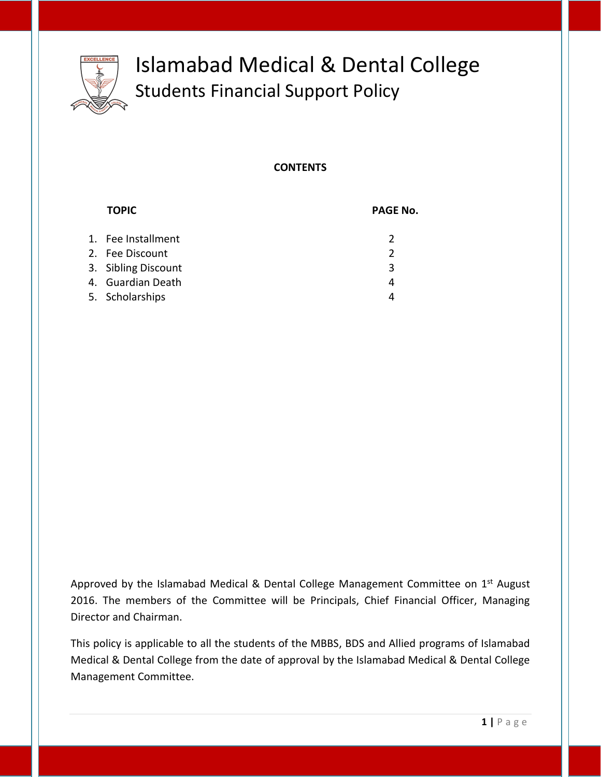

# Islamabad Medical & Dental College Students Financial Support Policy

#### **CONTENTS**

| <b>TOPIC</b>        | <b>PAGE No.</b> |
|---------------------|-----------------|
| 1. Fee Installment  | $\mathcal{P}$   |
| 2. Fee Discount     | $\mathcal{P}$   |
| 3. Sibling Discount | 3               |
| 4. Guardian Death   | 4               |
| 5. Scholarships     | 4               |

Approved by the Islamabad Medical & Dental College Management Committee on 1<sup>st</sup> August 2016. The members of the Committee will be Principals, Chief Financial Officer, Managing Director and Chairman.

This policy is applicable to all the students of the MBBS, BDS and Allied programs of Islamabad Medical & Dental College from the date of approval by the Islamabad Medical & Dental College Management Committee.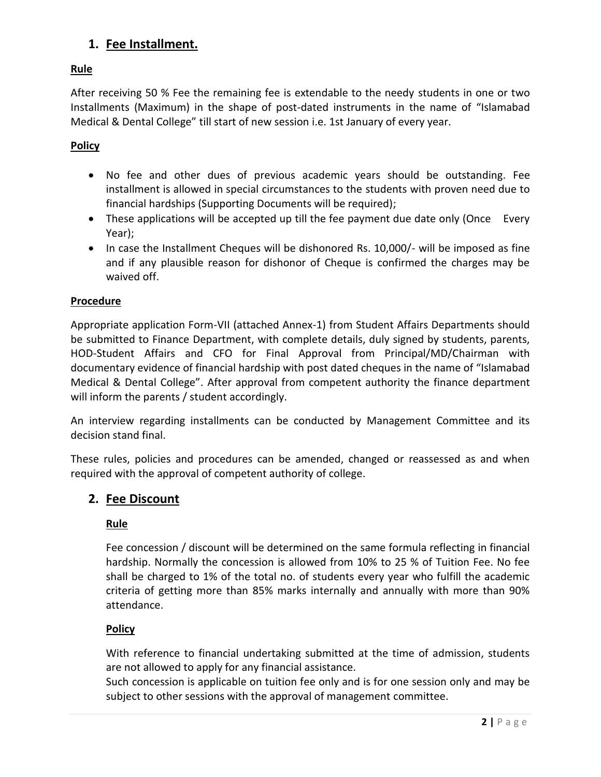## **1. Fee Installment.**

## **Rule**

After receiving 50 % Fee the remaining fee is extendable to the needy students in one or two Installments (Maximum) in the shape of post-dated instruments in the name of "Islamabad Medical & Dental College" till start of new session i.e. 1st January of every year.

## **Policy**

- No fee and other dues of previous academic years should be outstanding. Fee installment is allowed in special circumstances to the students with proven need due to financial hardships (Supporting Documents will be required);
- These applications will be accepted up till the fee payment due date only (Once Every Year);
- In case the Installment Cheques will be dishonored Rs. 10,000/- will be imposed as fine and if any plausible reason for dishonor of Cheque is confirmed the charges may be waived off.

#### **Procedure**

Appropriate application Form-VII (attached Annex-1) from Student Affairs Departments should be submitted to Finance Department, with complete details, duly signed by students, parents, HOD-Student Affairs and CFO for Final Approval from Principal/MD/Chairman with documentary evidence of financial hardship with post dated cheques in the name of "Islamabad Medical & Dental College". After approval from competent authority the finance department will inform the parents / student accordingly.

An interview regarding installments can be conducted by Management Committee and its decision stand final.

These rules, policies and procedures can be amended, changed or reassessed as and when required with the approval of competent authority of college.

## **2. Fee Discount**

## **Rule**

Fee concession / discount will be determined on the same formula reflecting in financial hardship. Normally the concession is allowed from 10% to 25 % of Tuition Fee. No fee shall be charged to 1% of the total no. of students every year who fulfill the academic criteria of getting more than 85% marks internally and annually with more than 90% attendance.

#### **Policy**

With reference to financial undertaking submitted at the time of admission, students are not allowed to apply for any financial assistance.

Such concession is applicable on tuition fee only and is for one session only and may be subject to other sessions with the approval of management committee.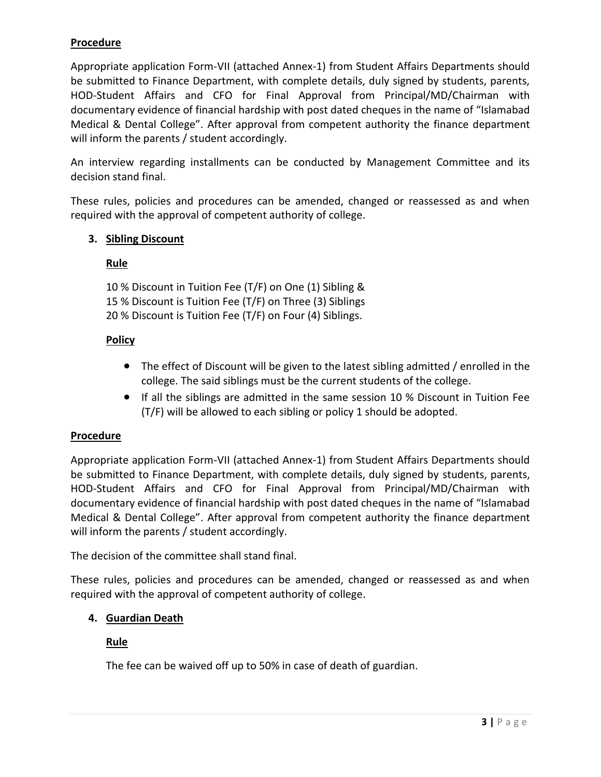## **Procedure**

Appropriate application Form-VII (attached Annex-1) from Student Affairs Departments should be submitted to Finance Department, with complete details, duly signed by students, parents, HOD-Student Affairs and CFO for Final Approval from Principal/MD/Chairman with documentary evidence of financial hardship with post dated cheques in the name of "Islamabad Medical & Dental College". After approval from competent authority the finance department will inform the parents / student accordingly.

An interview regarding installments can be conducted by Management Committee and its decision stand final.

These rules, policies and procedures can be amended, changed or reassessed as and when required with the approval of competent authority of college.

#### **3. Sibling Discount**

#### **Rule**

10 % Discount in Tuition Fee (T/F) on One (1) Sibling & 15 % Discount is Tuition Fee (T/F) on Three (3) Siblings 20 % Discount is Tuition Fee (T/F) on Four (4) Siblings.

#### **Policy**

- The effect of Discount will be given to the latest sibling admitted / enrolled in the college. The said siblings must be the current students of the college.
- If all the siblings are admitted in the same session 10 % Discount in Tuition Fee (T/F) will be allowed to each sibling or policy 1 should be adopted.

## **Procedure**

Appropriate application Form-VII (attached Annex-1) from Student Affairs Departments should be submitted to Finance Department, with complete details, duly signed by students, parents, HOD-Student Affairs and CFO for Final Approval from Principal/MD/Chairman with documentary evidence of financial hardship with post dated cheques in the name of "Islamabad Medical & Dental College". After approval from competent authority the finance department will inform the parents / student accordingly.

The decision of the committee shall stand final.

These rules, policies and procedures can be amended, changed or reassessed as and when required with the approval of competent authority of college.

## **4. Guardian Death**

## **Rule**

The fee can be waived off up to 50% in case of death of guardian.